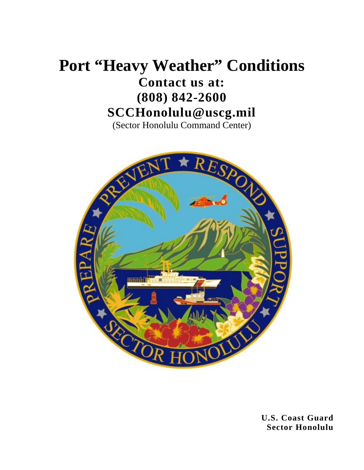### **Port "Heavy Weather" Conditions Contact us at: (808) 842-2600 SCCHonolulu@uscg.mil**

(Sector Honolulu Command Center)



**U.S. Coast Guard Sector Honolulu**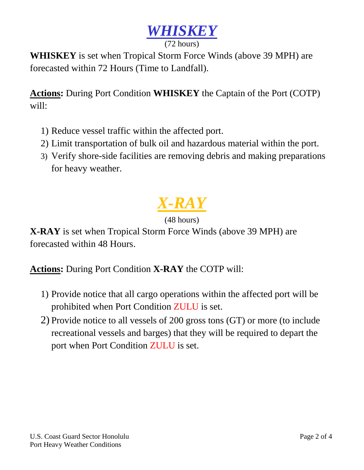

#### (72 hours)

**WHISKEY** is set when Tropical Storm Force Winds (above 39 MPH) are forecasted within 72 Hours (Time to Landfall).

**Actions:** During Port Condition **WHISKEY** the Captain of the Port (COTP) will:

- 1) Reduce vessel traffic within the affected port.
- 2) Limit transportation of bulk oil and hazardous material within the port.
- 3) Verify shore-side facilities are removing debris and making preparations for heavy weather.

# *X-RAY*

#### (48 hours)

**X-RAY** is set when Tropical Storm Force Winds (above 39 MPH) are forecasted within 48 Hours.

**Actions:** During Port Condition **X-RAY** the COTP will:

- 1) Provide notice that all cargo operations within the affected port will be prohibited when Port Condition ZULU is set.
- 2) Provide notice to all vessels of 200 gross tons (GT) or more (to include recreational vessels and barges) that they will be required to depart the port when Port Condition ZULU is set.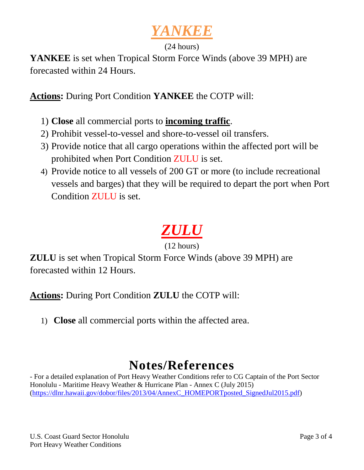### *YANKEE*

#### (24 hours)

**YANKEE** is set when Tropical Storm Force Winds (above 39 MPH) are forecasted within 24 Hours.

**Actions:** During Port Condition **YANKEE** the COTP will:

- 1) **Close** all commercial ports to **incoming traffic**.
- 2) Prohibit vessel-to-vessel and shore-to-vessel oil transfers.
- 3) Provide notice that all cargo operations within the affected port will be prohibited when Port Condition ZULU is set.
- 4) Provide notice to all vessels of 200 GT or more (to include recreational vessels and barges) that they will be required to depart the port when Port Condition ZULU is set.

## *ZULU*

(12 hours)

**ZULU** is set when Tropical Storm Force Winds (above 39 MPH) are forecasted within 12 Hours.

**Actions:** During Port Condition **ZULU** the COTP will:

1) **Close** all commercial ports within the affected area.

### **Notes/References**

- For a detailed explanation of Port Heavy Weather Conditions refer to CG Captain of the Port Sector Honolulu - Maritime Heavy Weather & Hurricane Plan - Annex C (July 2015) [\(https://dlnr.hawaii.gov/dobor/files/2013/04/AnnexC\\_HOMEPORTposted\\_SignedJul2015.pdf\)](https://dlnr.hawaii.gov/dobor/files/2013/04/AnnexC_HOMEPORTposted_SignedJul2015.pdf)